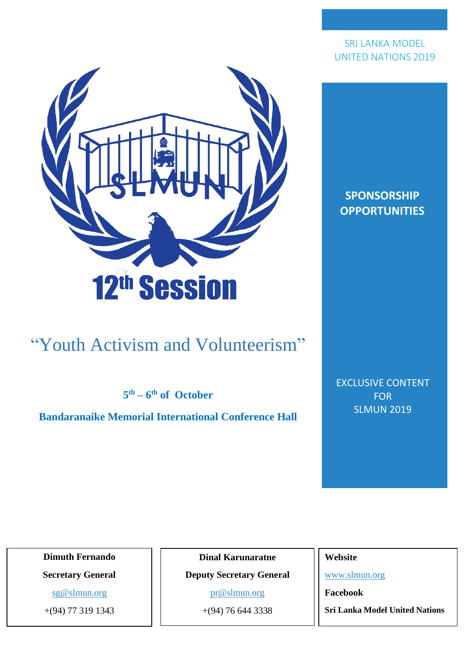

### "Youth Activism and Volunteerism"

**5 th – 6 th of October**

**Bandaranaike Memorial International Conference Hall**

**SPONSORSHIP OPPORTUNITIES**

EXCLUSIVE CONTENT FOR SLMUN 2019

**Dimuth Fernando**

**Secretary General**

[sg@slmun.org](mailto:sg@slmun.org)

+(94) 77 319 1343

**Dinal Karunaratne**

**Deputy Secretary General**

[pr@slmun.org](mailto:pr@slmun.org)

+(94) 76 644 3338

**Website** 

[www.slmun.org](http://www.slmun.org/)

**Facebook**

**Sri Lanka Model United Nations**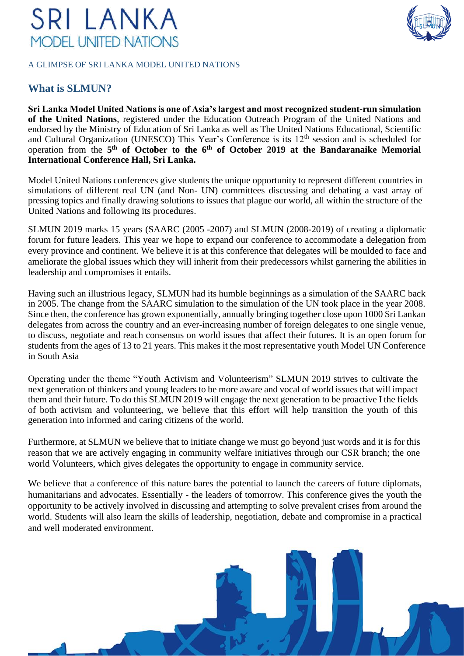#### A GLIMPSE OF SRI LANKA MODEL UNITED NATIONS

### **What is SLMUN?**

**Sri Lanka Model United Nations is one of Asia's largest and most recognized student-run simulation of the United Nations**, registered under the Education Outreach Program of the United Nations and endorsed by the Ministry of Education of Sri Lanka as well as The United Nations Educational, Scientific and Cultural Organization (UNESCO) This Year's Conference is its 12<sup>th</sup> session and is scheduled for operation from the **5 th of October to the 6 th of October 2019 at the Bandaranaike Memorial International Conference Hall, Sri Lanka.**

Model United Nations conferences give students the unique opportunity to represent different countries in simulations of different real UN (and Non- UN) committees discussing and debating a vast array of pressing topics and finally drawing solutions to issues that plague our world, all within the structure of the United Nations and following its procedures.

SLMUN 2019 marks 15 years (SAARC (2005 -2007) and SLMUN (2008-2019) of creating a diplomatic forum for future leaders. This year we hope to expand our conference to accommodate a delegation from every province and continent. We believe it is at this conference that delegates will be moulded to face and ameliorate the global issues which they will inherit from their predecessors whilst garnering the abilities in leadership and compromises it entails.

Having such an illustrious legacy, SLMUN had its humble beginnings as a simulation of the SAARC back in 2005. The change from the SAARC simulation to the simulation of the UN took place in the year 2008. Since then, the conference has grown exponentially, annually bringing together close upon 1000 Sri Lankan delegates from across the country and an ever-increasing number of foreign delegates to one single venue, to discuss, negotiate and reach consensus on world issues that affect their futures. It is an open forum for students from the ages of 13 to 21 years. This makes it the most representative youth Model UN Conference in South Asia

Operating under the theme "Youth Activism and Volunteerism" SLMUN 2019 strives to cultivate the next generation of thinkers and young leaders to be more aware and vocal of world issues that will impact them and their future. To do this SLMUN 2019 will engage the next generation to be proactive I the fields of both activism and volunteering, we believe that this effort will help transition the youth of this generation into informed and caring citizens of the world.

Furthermore, at SLMUN we believe that to initiate change we must go beyond just words and it is for this reason that we are actively engaging in community welfare initiatives through our CSR branch; the one world Volunteers, which gives delegates the opportunity to engage in community service.

We believe that a conference of this nature bares the potential to launch the careers of future diplomats, humanitarians and advocates. Essentially - the leaders of tomorrow. This conference gives the youth the opportunity to be actively involved in discussing and attempting to solve prevalent crises from around the world. Students will also learn the skills of leadership, negotiation, debate and compromise in a practical and well moderated environment.



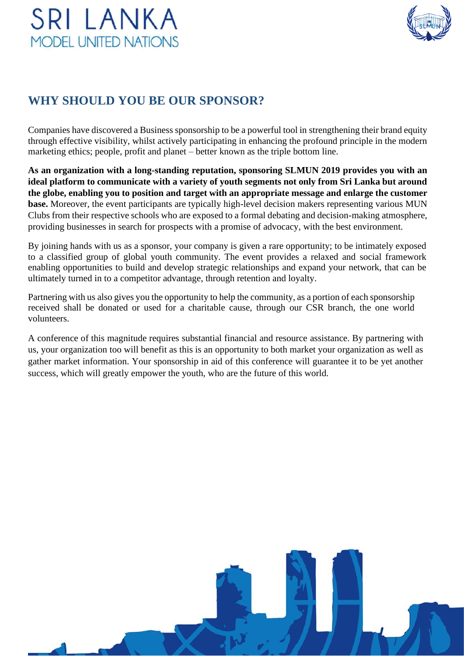

### **WHY SHOULD YOU BE OUR SPONSOR?**

Companies have discovered a Business sponsorship to be a powerful tool in strengthening their brand equity through effective visibility, whilst actively participating in enhancing the profound principle in the modern marketing ethics; people, profit and planet – better known as the triple bottom line.

**As an organization with a long-standing reputation, sponsoring SLMUN 2019 provides you with an ideal platform to communicate with a variety of youth segments not only from Sri Lanka but around the globe, enabling you to position and target with an appropriate message and enlarge the customer base.** Moreover, the event participants are typically high-level decision makers representing various MUN Clubs from their respective schools who are exposed to a formal debating and decision-making atmosphere, providing businesses in search for prospects with a promise of advocacy, with the best environment.

By joining hands with us as a sponsor, your company is given a rare opportunity; to be intimately exposed to a classified group of global youth community. The event provides a relaxed and social framework enabling opportunities to build and develop strategic relationships and expand your network, that can be ultimately turned in to a competitor advantage, through retention and loyalty.

Partnering with us also gives you the opportunity to help the community, as a portion of each sponsorship received shall be donated or used for a charitable cause, through our CSR branch, the one world volunteers.

A conference of this magnitude requires substantial financial and resource assistance. By partnering with us, your organization too will benefit as this is an opportunity to both market your organization as well as gather market information. Your sponsorship in aid of this conference will guarantee it to be yet another success, which will greatly empower the youth, who are the future of this world.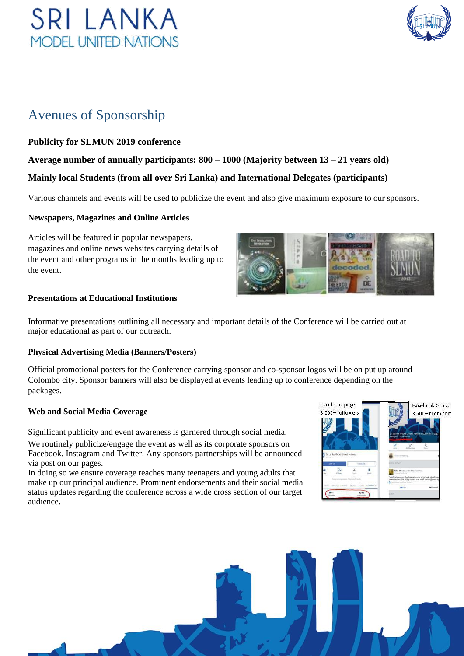

### Avenues of Sponsorship

#### **Publicity for SLMUN 2019 conference**

### **Average number of annually participants: 800 – 1000 (Majority between 13 – 21 years old) Mainly local Students (from all over Sri Lanka) and International Delegates (participants)**

Various channels and events will be used to publicize the event and also give maximum exposure to our sponsors.

#### **Newspapers, Magazines and Online Articles**

Articles will be featured in popular newspapers, magazines and online news websites carrying details of the event and other programs in the months leading up to the event.



#### **Presentations at Educational Institutions**

Informative presentations outlining all necessary and important details of the Conference will be carried out at major educational as part of our outreach.

#### **Physical Advertising Media (Banners/Posters)**

Official promotional posters for the Conference carrying sponsor and co-sponsor logos will be on put up around Colombo city. Sponsor banners will also be displayed at events leading up to conference depending on the packages.

#### **Web and Social Media Coverage**

Significant publicity and event awareness is garnered through social media. We routinely publicize/engage the event as well as its corporate sponsors on Facebook, Instagram and Twitter. Any sponsors partnerships will be announced via post on our pages.

In doing so we ensure coverage reaches many teenagers and young adults that make up our principal audience. Prominent endorsements and their social media status updates regarding the conference across a wide cross section of our target audience.



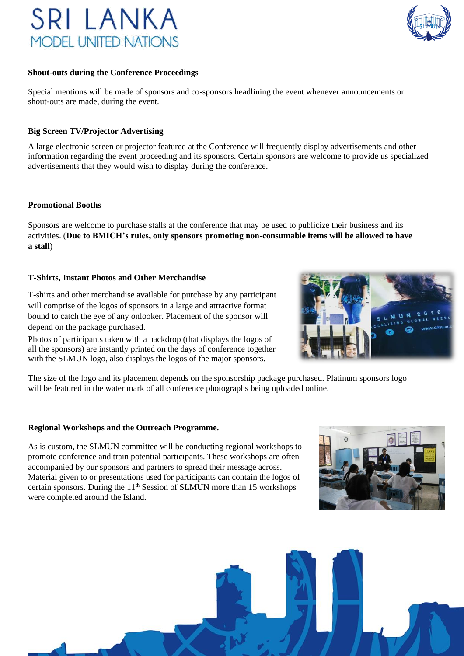

#### **Shout-outs during the Conference Proceedings**

Special mentions will be made of sponsors and co-sponsors headlining the event whenever announcements or shout-outs are made, during the event.

#### **Big Screen TV/Projector Advertising**

A large electronic screen or projector featured at the Conference will frequently display advertisements and other information regarding the event proceeding and its sponsors. Certain sponsors are welcome to provide us specialized advertisements that they would wish to display during the conference.

#### **Promotional Booths**

Sponsors are welcome to purchase stalls at the conference that may be used to publicize their business and its activities. (**Due to BMICH's rules, only sponsors promoting non-consumable items will be allowed to have a stall**)

#### **T-Shirts, Instant Photos and Other Merchandise**

T-shirts and other merchandise available for purchase by any participant will comprise of the logos of sponsors in a large and attractive format bound to catch the eye of any onlooker. Placement of the sponsor will depend on the package purchased.

Photos of participants taken with a backdrop (that displays the logos of all the sponsors) are instantly printed on the days of conference together with the SLMUN logo, also displays the logos of the major sponsors.



The size of the logo and its placement depends on the sponsorship package purchased. Platinum sponsors logo will be featured in the water mark of all conference photographs being uploaded online.

#### **Regional Workshops and the Outreach Programme.**

As is custom, the SLMUN committee will be conducting regional workshops to promote conference and train potential participants. These workshops are often accompanied by our sponsors and partners to spread their message across. Material given to or presentations used for participants can contain the logos of certain sponsors. During the  $11<sup>th</sup>$  Session of SLMUN more than 15 workshops were completed around the Island.



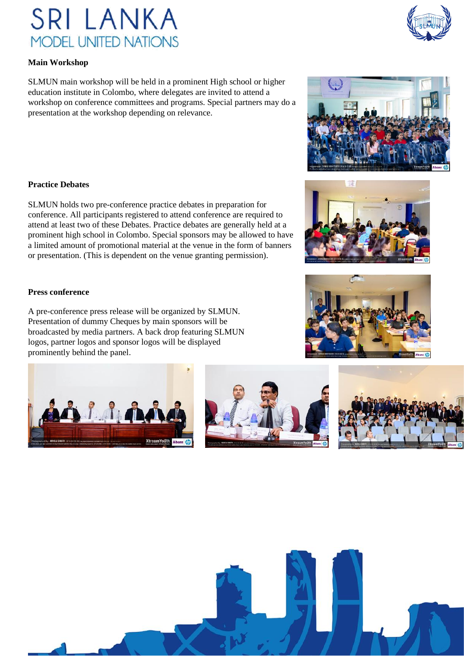#### **Main Workshop**

SLMUN main workshop will be held in a prominent High school or higher education institute in Colombo, where delegates are invited to attend a workshop on conference committees and programs. Special partners may do a presentation at the workshop depending on relevance.

#### **Practice Debates**

SLMUN holds two pre-conference practice debates in preparation for conference. All participants registered to attend conference are required to attend at least two of these Debates. Practice debates are generally held at a prominent high school in Colombo. Special sponsors may be allowed to have a limited amount of promotional material at the venue in the form of banners or presentation. (This is dependent on the venue granting permission).

#### **Press conference**

A pre-conference press release will be organized by SLMUN. Presentation of dummy Cheques by main sponsors will be broadcasted by media partners. A back drop featuring SLMUN logos, partner logos and sponsor logos will be displayed prominently behind the panel.

















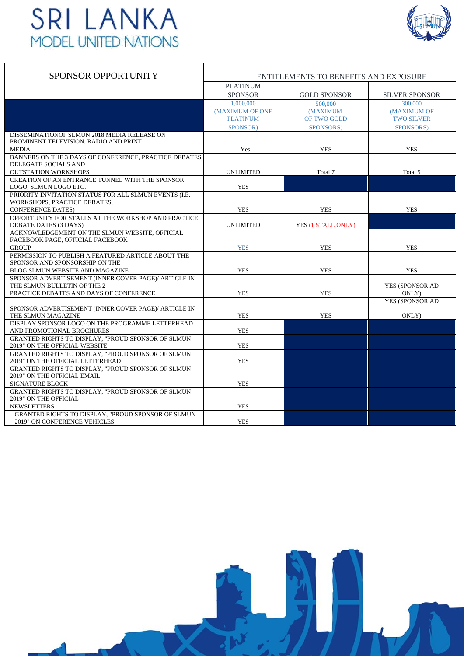

| <b>SPONSOR OPPORTUNITY</b>                                                         | ENTITLEMENTS TO BENEFITS AND EXPOSURE |                     |                       |  |  |
|------------------------------------------------------------------------------------|---------------------------------------|---------------------|-----------------------|--|--|
|                                                                                    | <b>PLATINUM</b><br><b>SPONSOR</b>     | <b>GOLD SPONSOR</b> | <b>SILVER SPONSOR</b> |  |  |
|                                                                                    | 1,000,000                             | 500,000             | 300,000               |  |  |
|                                                                                    | (MAXIMUM OF ONE                       | <b>(MAXIMUM)</b>    | (MAXIMUM OF           |  |  |
|                                                                                    | <b>PLATINUM</b>                       | OF TWO GOLD         | <b>TWO SILVER</b>     |  |  |
|                                                                                    | SPONSOR)                              | SPONSORS)           | SPONSORS)             |  |  |
| DISSEMINATIONOF SLMUN 2018 MEDIA RELEASE ON                                        |                                       |                     |                       |  |  |
| PROMINENT TELEVISION, RADIO AND PRINT                                              |                                       |                     |                       |  |  |
| <b>MEDIA</b>                                                                       | Yes                                   | <b>YES</b>          | <b>YES</b>            |  |  |
| BANNERS ON THE 3 DAYS OF CONFERENCE, PRACTICE DEBATES,                             |                                       |                     |                       |  |  |
| DELEGATE SOCIALS AND                                                               |                                       |                     |                       |  |  |
| <b>OUTSTATION WORKSHOPS</b>                                                        | <b>UNLIMITED</b>                      | Total 7             | Total 5               |  |  |
| CREATION OF AN ENTRANCE TUNNEL WITH THE SPONSOR                                    |                                       |                     |                       |  |  |
| LOGO, SLMUN LOGO ETC.                                                              | <b>YES</b>                            |                     |                       |  |  |
| PRIORITY INVITATION STATUS FOR ALL SLMUN EVENTS (I.E.                              |                                       |                     |                       |  |  |
| WORKSHOPS, PRACTICE DEBATES,                                                       |                                       |                     |                       |  |  |
| <b>CONFERENCE DATES)</b>                                                           | <b>YES</b>                            | <b>YES</b>          | <b>YES</b>            |  |  |
| OPPORTUNITY FOR STALLS AT THE WORKSHOP AND PRACTICE                                |                                       |                     |                       |  |  |
| DEBATE DATES (3 DAYS)                                                              | <b>UNLIMITED</b>                      | YES (1 STALL ONLY)  |                       |  |  |
| ACKNOWLEDGEMENT ON THE SLMUN WEBSITE, OFFICIAL<br>FACEBOOK PAGE, OFFICIAL FACEBOOK |                                       |                     |                       |  |  |
| <b>GROUP</b>                                                                       | <b>YES</b>                            | <b>YES</b>          | <b>YES</b>            |  |  |
| PERMISSION TO PUBLISH A FEATURED ARTICLE ABOUT THE                                 |                                       |                     |                       |  |  |
| SPONSOR AND SPONSORSHIP ON THE                                                     |                                       |                     |                       |  |  |
| <b>BLOG SLMUN WEBSITE AND MAGAZINE</b>                                             | <b>YES</b>                            | <b>YES</b>          | <b>YES</b>            |  |  |
| SPONSOR ADVERTISEMENT (INNER COVER PAGE)/ ARTICLE IN                               |                                       |                     |                       |  |  |
| THE SLMUN BULLETIN OF THE 2                                                        |                                       |                     | YES (SPONSOR AD       |  |  |
| PRACTICE DEBATES AND DAYS OF CONFERENCE                                            | <b>YES</b>                            | <b>YES</b>          | ONLY)                 |  |  |
|                                                                                    |                                       |                     | YES (SPONSOR AD       |  |  |
| SPONSOR ADVERTISEMENT (INNER COVER PAGE)/ ARTICLE IN                               |                                       |                     |                       |  |  |
| THE SLMUN MAGAZINE                                                                 | <b>YES</b>                            | <b>YES</b>          | ONLY)                 |  |  |
| DISPLAY SPONSOR LOGO ON THE PROGRAMME LETTERHEAD                                   |                                       |                     |                       |  |  |
| AND PROMOTIONAL BROCHURES                                                          | <b>YES</b>                            |                     |                       |  |  |
| GRANTED RIGHTS TO DISPLAY, "PROUD SPONSOR OF SLMUN                                 |                                       |                     |                       |  |  |
| 2019" ON THE OFFICIAL WEBSITE                                                      | <b>YES</b>                            |                     |                       |  |  |
| GRANTED RIGHTS TO DISPLAY. "PROUD SPONSOR OF SLMUN                                 |                                       |                     |                       |  |  |
| 2019" ON THE OFFICIAL LETTERHEAD                                                   | <b>YES</b>                            |                     |                       |  |  |
| GRANTED RIGHTS TO DISPLAY, "PROUD SPONSOR OF SLMUN                                 |                                       |                     |                       |  |  |
| 2019" ON THE OFFICIAL EMAIL                                                        |                                       |                     |                       |  |  |
| <b>SIGNATURE BLOCK</b>                                                             | <b>YES</b>                            |                     |                       |  |  |
| GRANTED RIGHTS TO DISPLAY, "PROUD SPONSOR OF SLMUN                                 |                                       |                     |                       |  |  |
| 2019" ON THE OFFICIAL<br><b>NEWSLETTERS</b>                                        | <b>YES</b>                            |                     |                       |  |  |
| GRANTED RIGHTS TO DISPLAY, "PROUD SPONSOR OF SLMUN                                 |                                       |                     |                       |  |  |
| 2019" ON CONFERENCE VEHICLES                                                       | <b>YES</b>                            |                     |                       |  |  |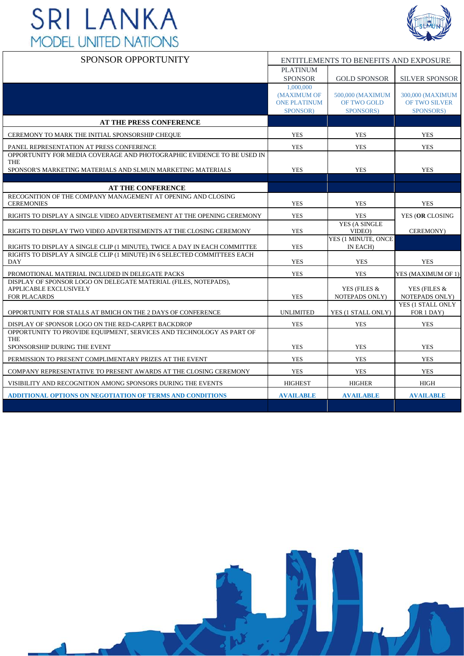

| <b>SPONSOR OPPORTUNITY</b>                                                                       | ENTITLEMENTS TO BENEFITS AND EXPOSURE |                               |                                   |
|--------------------------------------------------------------------------------------------------|---------------------------------------|-------------------------------|-----------------------------------|
|                                                                                                  | <b>PLATINUM</b>                       |                               |                                   |
|                                                                                                  | <b>SPONSOR</b>                        | <b>GOLD SPONSOR</b>           | <b>SILVER SPONSOR</b>             |
|                                                                                                  | 1,000,000                             |                               |                                   |
|                                                                                                  | (MAXIMUM OF                           | 500,000 (MAXIMUM              | 300,000 (MAXIMUM                  |
|                                                                                                  | <b>ONE PLATINUM</b><br>SPONSOR)       | OF TWO GOLD<br>SPONSORS)      | <b>OF TWO SILVER</b><br>SPONSORS) |
| <b>AT THE PRESS CONFERENCE</b>                                                                   |                                       |                               |                                   |
|                                                                                                  |                                       |                               |                                   |
| CEREMONY TO MARK THE INITIAL SPONSORSHIP CHEQUE                                                  | <b>YES</b>                            | <b>YES</b>                    | <b>YES</b>                        |
| PANEL REPRESENTATION AT PRESS CONFERENCE                                                         | <b>YES</b>                            | <b>YES</b>                    | <b>YES</b>                        |
| OPPORTUNITY FOR MEDIA COVERAGE AND PHOTOGRAPHIC EVIDENCE TO BE USED IN<br><b>THE</b>             |                                       |                               |                                   |
| SPONSOR'S MARKETING MATERIALS AND SLMUN MARKETING MATERIALS                                      | <b>YES</b>                            | <b>YES</b>                    | <b>YES</b>                        |
|                                                                                                  |                                       |                               |                                   |
| <b>AT THE CONFERENCE</b>                                                                         |                                       |                               |                                   |
| RECOGNITION OF THE COMPANY MANAGEMENT AT OPENING AND CLOSING                                     |                                       |                               |                                   |
| <b>CEREMONIES</b>                                                                                | <b>YES</b>                            | <b>YES</b>                    | <b>YES</b>                        |
| RIGHTS TO DISPLAY A SINGLE VIDEO ADVERTISEMENT AT THE OPENING CEREMONY                           | <b>YES</b>                            | <b>YES</b>                    | YES (OR CLOSING                   |
|                                                                                                  | <b>YES</b>                            | YES (A SINGLE                 | CEREMONY)                         |
| RIGHTS TO DISPLAY TWO VIDEO ADVERTISEMENTS AT THE CLOSING CEREMONY                               |                                       | VIDEO)<br>YES (1 MINUTE, ONCE |                                   |
| RIGHTS TO DISPLAY A SINGLE CLIP (1 MINUTE), TWICE A DAY IN EACH COMMITTEE                        | <b>YES</b>                            | IN EACH)                      |                                   |
| RIGHTS TO DISPLAY A SINGLE CLIP (1 MINUTE) IN 6 SELECTED COMMITTEES EACH                         |                                       |                               |                                   |
| <b>DAY</b>                                                                                       | <b>YES</b>                            | <b>YES</b>                    | <b>YES</b>                        |
| PROMOTIONAL MATERIAL INCLUDED IN DELEGATE PACKS                                                  | <b>YES</b>                            | <b>YES</b>                    | YES (MAXIMUM OF 1)                |
| DISPLAY OF SPONSOR LOGO ON DELEGATE MATERIAL (FILES, NOTEPADS).<br><b>APPLICABLE EXCLUSIVELY</b> |                                       | YES (FILES &                  | YES (FILES &                      |
| <b>FOR PLACARDS</b>                                                                              | <b>YES</b>                            | NOTEPADS ONLY)                | NOTEPADS ONLY)                    |
|                                                                                                  |                                       |                               | YES (1 STALL ONLY                 |
| OPPORTUNITY FOR STALLS AT BMICH ON THE 2 DAYS OF CONFERENCE                                      | <b>UNLIMITED</b>                      | YES (1 STALL ONLY)            | FOR 1 DAY)                        |
| DISPLAY OF SPONSOR LOGO ON THE RED-CARPET BACKDROP                                               | <b>YES</b>                            | <b>YES</b>                    | <b>YES</b>                        |
| OPPORTUNITY TO PROVIDE EQUIPMENT, SERVICES AND TECHNOLOGY AS PART OF                             |                                       |                               |                                   |
| <b>THE</b><br>SPONSORSHIP DURING THE EVENT                                                       | <b>YES</b>                            | <b>YES</b>                    | <b>YES</b>                        |
|                                                                                                  | <b>YES</b>                            |                               |                                   |
| PERMISSION TO PRESENT COMPLIMENTARY PRIZES AT THE EVENT                                          |                                       | <b>YES</b>                    | <b>YES</b>                        |
| COMPANY REPRESENTATIVE TO PRESENT AWARDS AT THE CLOSING CEREMONY                                 | <b>YES</b>                            | <b>YES</b>                    | <b>YES</b>                        |
| VISIBILITY AND RECOGNITION AMONG SPONSORS DURING THE EVENTS                                      | <b>HIGHEST</b>                        | <b>HIGHER</b>                 | <b>HIGH</b>                       |
| <b>ADDITIONAL OPTIONS ON NEGOTIATION OF TERMS AND CONDITIONS</b>                                 | <b>AVAILABLE</b>                      | <b>AVAILABLE</b>              | <b>AVAILABLE</b>                  |
|                                                                                                  |                                       |                               |                                   |